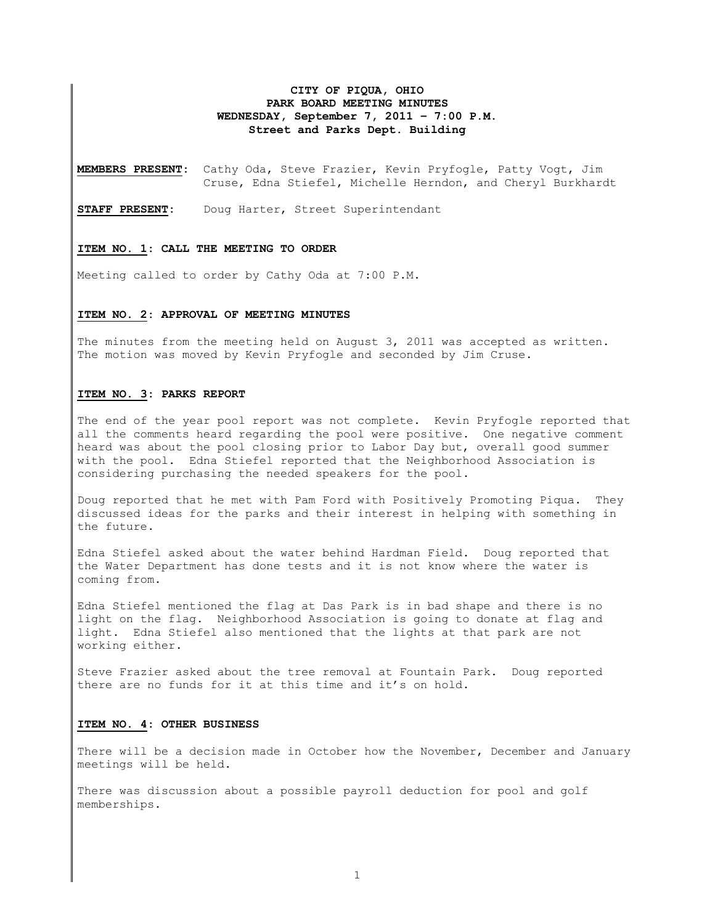## **CITY OF PIQUA, OHIO PARK BOARD MEETING MINUTES WEDNESDAY, September 7, 2011 – 7:00 P.M. Street and Parks Dept. Building**

**MEMBERS PRESENT:** Cathy Oda, Steve Frazier, Kevin Pryfogle, Patty Vogt, Jim Cruse, Edna Stiefel, Michelle Herndon, and Cheryl Burkhardt

**STAFF PRESENT:** Doug Harter, Street Superintendant

#### **ITEM NO. 1: CALL THE MEETING TO ORDER**

Meeting called to order by Cathy Oda at 7:00 P.M.

#### **ITEM NO. 2: APPROVAL OF MEETING MINUTES**

The minutes from the meeting held on August 3, 2011 was accepted as written. The motion was moved by Kevin Pryfogle and seconded by Jim Cruse.

## **ITEM NO. 3: PARKS REPORT**

The end of the year pool report was not complete. Kevin Pryfogle reported that all the comments heard regarding the pool were positive. One negative comment heard was about the pool closing prior to Labor Day but, overall good summer with the pool. Edna Stiefel reported that the Neighborhood Association is considering purchasing the needed speakers for the pool.

Doug reported that he met with Pam Ford with Positively Promoting Piqua. They discussed ideas for the parks and their interest in helping with something in the future.

Edna Stiefel asked about the water behind Hardman Field. Doug reported that the Water Department has done tests and it is not know where the water is coming from.

Edna Stiefel mentioned the flag at Das Park is in bad shape and there is no light on the flag. Neighborhood Association is going to donate at flag and light. Edna Stiefel also mentioned that the lights at that park are not working either.

Steve Frazier asked about the tree removal at Fountain Park. Doug reported there are no funds for it at this time and it's on hold.

### **ITEM NO. 4: OTHER BUSINESS**

There will be a decision made in October how the November, December and January meetings will be held.

There was discussion about a possible payroll deduction for pool and golf memberships.